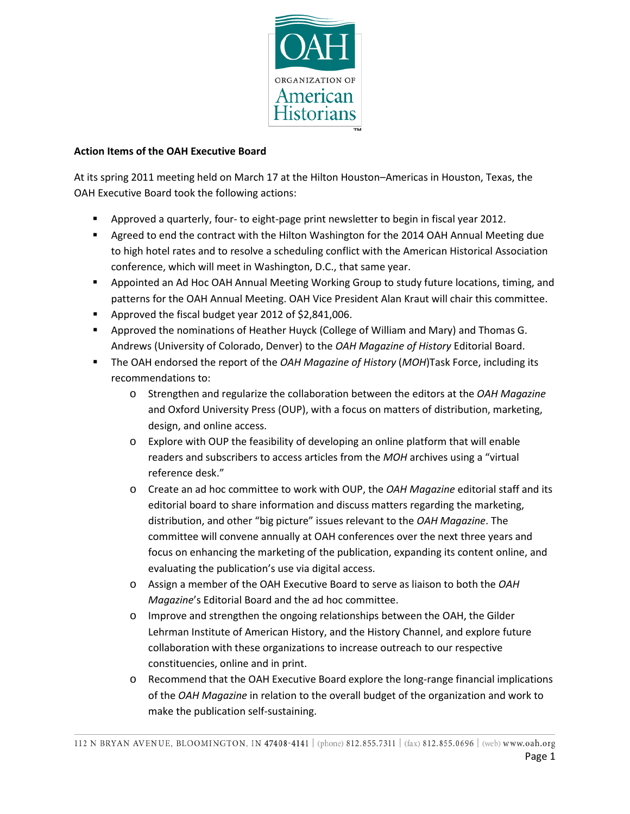

## **Action Items of the OAH Executive Board**

At its spring 2011 meeting held on March 17 at the Hilton Houston–Americas in Houston, Texas, the OAH Executive Board took the following actions:

- Approved a quarterly, four- to eight-page print newsletter to begin in fiscal year 2012.
- **Agreed to end the contract with the Hilton Washington for the 2014 OAH Annual Meeting due** to high hotel rates and to resolve a scheduling conflict with the American Historical Association conference, which will meet in Washington, D.C., that same year.
- Appointed an Ad Hoc OAH Annual Meeting Working Group to study future locations, timing, and patterns for the OAH Annual Meeting. OAH Vice President Alan Kraut will chair this committee.
- Approved the fiscal budget year 2012 of \$2,841,006.
- Approved the nominations of Heather Huyck (College of William and Mary) and Thomas G. Andrews (University of Colorado, Denver) to the *OAH Magazine of History* Editorial Board.
- The OAH endorsed the report of the *OAH Magazine of History* (*MOH*)Task Force, including its recommendations to:
	- o Strengthen and regularize the collaboration between the editors at the *OAH Magazine* and Oxford University Press (OUP), with a focus on matters of distribution, marketing, design, and online access.
	- $\circ$  Explore with OUP the feasibility of developing an online platform that will enable readers and subscribers to access articles from the *MOH* archives using a "virtual reference desk."
	- o Create an ad hoc committee to work with OUP, the *OAH Magazine* editorial staff and its editorial board to share information and discuss matters regarding the marketing, distribution, and other "big picture" issues relevant to the *OAH Magazine*. The committee will convene annually at OAH conferences over the next three years and focus on enhancing the marketing of the publication, expanding its content online, and evaluating the publication's use via digital access.
	- o Assign a member of the OAH Executive Board to serve as liaison to both the *OAH Magazine*'s Editorial Board and the ad hoc committee.
	- o Improve and strengthen the ongoing relationships between the OAH, the Gilder Lehrman Institute of American History, and the History Channel, and explore future collaboration with these organizations to increase outreach to our respective constituencies, online and in print.
	- o Recommend that the OAH Executive Board explore the long-range financial implications of the *OAH Magazine* in relation to the overall budget of the organization and work to make the publication self-sustaining.